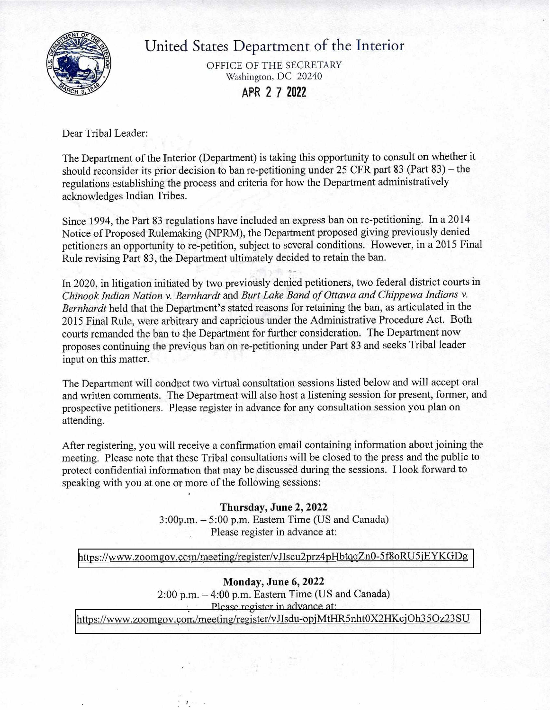

United States Department of the Interior

OFFICE OF THE SECRETARY Washington, DC 20240 **APR 2 7 2022** 

Dear Tribal Leader:

The Department of the Interior (Department) is taking this opportunity to consult on whether it should reconsider its prior decision to ban re-petitioning under 25 CFR part 83 (Part 83) — the regulations establishing the process and criteria for how the Department administratively acknowledges Indian Tribes.

Since 1994, the Part 83 regulations have included an express ban on re-petitioning. In a 2014 Notice of Proposed Rulemaking (NPRM), the Department proposed giving previously denied petitioners an opportunity to re-petition, subject to several conditions. However, in a 2015 Final Rule revising Part 83, the Department ultimately decided to retain the ban.

In 2020, in litigation initiated by two previously denied petitioners, two federal district courts in *Chinook Indian Nation v. Bernhardt* and *Burt Lake Band of Ottawa and Chippewa Indians v. Bernhardt* held that the Department's stated reasons for retaining the ban, as articulated in the 2015 Final Rule, were arbitrary and capricious under the Administrative Procedure Act. Both courts remanded the ban to tie Department for further consideration. The Department now proposes continuing the previous ban on re-petitioning under Part 83 and seeks Tribal leader input on this matter.

The Department will conduct two virtual consultation sessions listed below and will accept oral and written comments. The Department will also host a listening session for present, former, and prospective petitioners. Please register in advance for any consultation session you plan on attending.

After registering, you will receive a confirmation email containing information about joining the meeting. Please note that these Tribal consultations will be closed to the press and the public to protect confidential information that may be, discussed during the sessions. **I** look forward to speaking with you at one or more of the following sessions:

> **Thursday, June 2, 2022**  3:00p.m. — 5:00 p.m. Eastern Time (US and Canada) . Please register in advance at:

## https://www.zoomgov.ccm/meeting/register/vJIscu2prz4pHbtqqZn0-5f8oRU5jEYKGDg

**Monday, June 6, 2022**  2:00 p.m. — 4:00 p.m. Eastern Time (US and Canada) Please register in advance at: https://www.zoomgov.con/meeting/register/vJIsdu-opjMtHR5nht0X2HKcjOh35Oz23SU